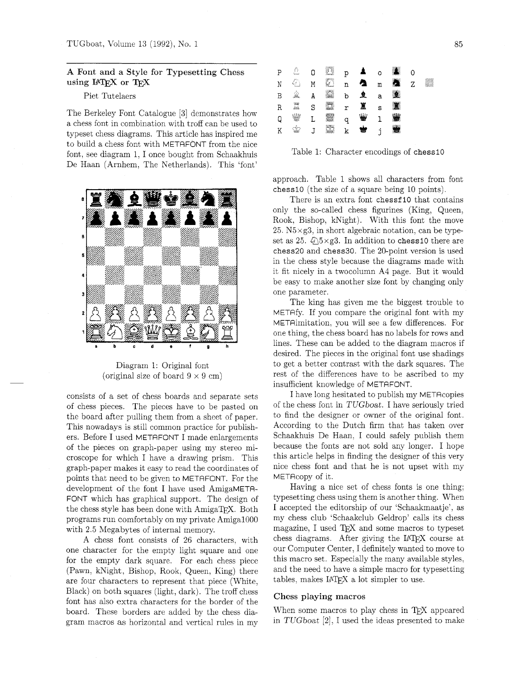# **A** Font and a Style for Typesetting Chess using IATEX or TEX

Piet Tutelaers

The Berkeley Font Catalogue **[3]** demonstrates how a chess font in combination with troff can be used to typeset chess diagrams. This article has inspired me to build a chess font with METAFONT from the nice font, see diagram 1, I once bought from Schaakhuis De Haan (Arnhem, The Netherlands). This 'font'



Diagram 1: Original font (original size of board  $9 \times 9$  cm)

consists of a set of chess boards and separate sets of chess pieces. The pieces have to be pasted on the board after pulling them from a sheet of paper. This nowadays is still common practice for publishers. Before I used METAFONT I made enlargements of the pieces on graph-paper using my stereo microscope for which I have a drawing prism. This graph-paper makes it easy to read the coordinates of points that need to be given to METAFONT. For the development of the font I have used AmigaMETA-FONT which has graphical support. The design of the chess style has been done with AmigaTFX. Both programs run comfortably on my private AmigalOOO with 2.5 Megabytes of internal memory.

A chess font consists of 26 characters, with one character for the empty light square and one for the empty dark square. For each chess piece (Pawn, kNight, Bishop, Rook, Queen, King) there are four characters to represent that piece (White, Black) on both squares (light, dark). The troff chess font has also extra characters for the border of the board. These borders are added by the chess diagram macros as horizontal and vertical rules in my



Table 1: Character encodings of **chess10** 

approach. Table 1 shows all characters from font **chess10** (the size of a square being 10 points).

There is an extra font **chessf 10** that contains only the so-called chess figurines (King, Queen, Rook, Bishop, kNight). With this font the move  $25. N5 \times g3$ , in short algebraic notation, can be typeset as 25. Q5xg3. In addition to **chess10** there are **chess20** and **chess30.** The 20-point version is used in the chess style because the diagrams made with it fit nicely in a twocolumn A4 page. But it would be easy to make another size font by changing only one parameter.

The king has given me the biggest trouble to METAfy. If you compare the original font with my METAimitation, you will see a few differences. For one thing, the chess board has no labels for rows and lines. These can be added to the diagram macros if desired. The pieces in the original font use shadings to get a better contrast with the dark squares. The rest of the differences have to be ascribed to my insufficient knowledge of METAFONT.

I have long hesitated to publish my METAcopies of the chess font in TUGboat. I have seriously tried to find the designer or owner of the original font. According to the Dutch firm that has taken over Schaakhuis De Haan, I could safely publish them because the fonts are not sold any longer. I hope this article helps in finding the designer of this very nice chess font and that he is not upset with my METAcopy of it.

Having a nice set of chess fonts is one thing; typesetting chess using them is another thing. When I accepted the editorship of our 'Schaakmaatje', as my chess club 'Schaakclub Geldrop' calls its chess magazine, I used  $T_{\text{F}}X$  and some macros to typeset chess diagrams. After giving the IATFX course at our Computer Center, I definitely wanted to move to this macro set. Especially the many available styles, and the need to have a simple macro for typesetting tables, makes LATEX a lot simpler to use.

## Chess playing macros

When some macros to play chess in T<sub>F</sub>X appeared in TUGboat *[2],* I used the ideas presented to make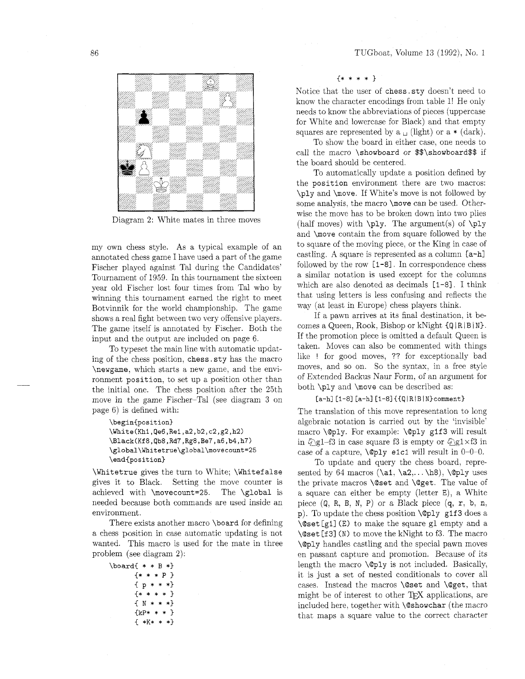

Diagram 2: White mates in three moves

my own chess style. As a typical example of an annotated chess game I have used a part of the game Fischer played against Tal during the Candidates' Tournament of 1959. In this tournament the sixteen year old Fischer lost four times from Tal who by winning this tournament earned the right to meet Botvinnik for the world championship. The game shows a real fight between two very offensive players. The game itself is annotated by Fischer. Both the input and the output are included on page 6.

To typeset the main line with automatic updating of the chess position, chess. sty has the macro \newgame. which starts a new game, and the environment position, to set up a position other than the initial one. The chess position after the 25th move in the game Fischer-Tal (see diagram 3 on page 6) is defined with:

```
\begin{position}
\White(Kh1,Qe6,Re1,a2,b2,c2,g2,h2)
\Black(Kf8,Qb8,Rd7,Rg8,Be7,a6,b4,h7)
\global\Whitetrue\global\movecount=25
\end{position}
```
\Whitetrue gives the turn to White; \Whitefalse gives it to Black. Setting the move counter is achieved with \movecount=25. The \global is needed because both commands are used inside an environment.

There exists another macro \board for defining a chess position in case automatic updating is not wanted. This macro is used for the mate in three problem (see diagram 2):

```
\text{board} * * B *}
       * * * P{p * * *}* * * *\{ N * * * * \}\{kP* * * * \}\{ *K* * **\}
```
{\*\*\*\*I

Notice that the user of chess. sty doesn't need to know the character encodings from table I! He only needs to know the abbreviations of pieces (uppercase for White and lowercase for Black) and that empty squares are represented by  $a_{\perp}$  (light) or  $a * (dark)$ .

To show the board in either case, one needs to call the macro \showboard or \$\$\showboard\$\$ if the board should be centered.

To automatically update a position defined by the position environment there are two macros: \ply and \move. If White's move is not followed by some analysis, the macro \move can be used. Otherwise the move has to be broken down into two plies (half moves) with  $\pi$ . The argument(s) of  $\pi$ and \move contain the from square followed by the to square of the moving piece, or the King in case of castling. A square is represented as a column [a-hl followed by the row [I-81. In correspondence chess a similar notation is used except for the columns which are also denoted as decimals [I-81. I think that using letters is less confusing and reflects the way (at least in Europe) chess players think.

If a pawn arrives at its final destination, it becomes a Queen, Rook, Bishop or kNight  $\{Q \mid R \mid B \mid N\}$ . If the promotion piece is omitted a default Queen is taken. Moves can also be commented with things like ! for good moves, ?? for exceptionally bad moves, and so on. So the syntax, in a free style of Extended Backus Kaur Form, of an argument for both \ply and \move can be described as:

#### $[a-h]$   $[1-8]$   $[a-h]$   $[1-8]$   $\{Q | R | B | N\}$ comment }

The translation of this move representation to long algebraic notation is carried out by the 'invisible' macro  $\Q$ ply. For example:  $\Q$ ply g1f3 will result in  $\sqrt{q}$  = f3 in case square f3 is empty or  $\sqrt{q}$  gl  $\times$  f3 in case of a capture,  $\Q$ ply e1c1 will result in 0-0-0.

To update and query the chess board, represented by 64 macros  $(\a_1, \a_2, \ldots, \b_8), \qquad$ uses the private macros \@set and \@get. The value of a square can either be empty (letter E), a White piece  $(Q, R, B, N, P)$  or a Black piece  $(q, r, b, n, p)$ p). To update the chess position \@ply glf 3 does a \@set [gl] (E) to make the square gl empty and a \@set [f 31 (N) to move the kNight to f3. The macro \@ply handles castling and the special pawn moves en passant capture and promotion. Because of its length the macro \@ply is not included. Basically, it is just a set of nested conditionals to cover all cases. Instead the macros \@set and \@get, that might be of interest to other TEX applications, are included here. together with \@showchar (the macro that maps a square value to the correct character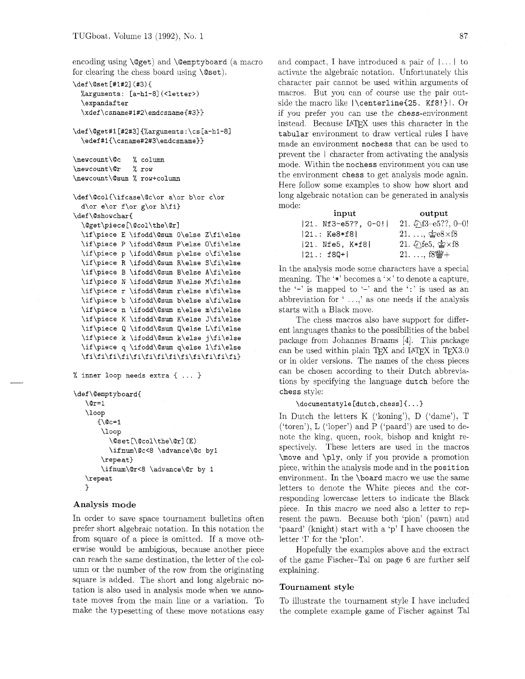encoding using \@get) and \@emptyboard (a macro for clearing the chess board using  $\text{Qset}$ .

```
\def \@set [#l#21 (#3) { 
  %arguments: [a-hi-81 (<letter>) 
  \expandaf ter 
  \xdef\csname#i#2\endcsname{#3))
```

```
\def\@get#1[#2#3]{%arguments:\cs[a-h1-8]
  \edef#1{\csname#2#3\endcsname}}
```

```
\newcount\@c % column 
\newcount\Or % row 
\newcount\Qsum % row+column
```

```
\def\@col{\ifcase\@c\or a\or b\or c\or
 d\or e\or f\or g\or h\fi}
\def\@showchar{
 \@get\piece[\@col\the\@r]
 \if\piece P \ifodd\@sum P\else O\fi\else
 \if\piece p \ifodd\@sum p\else o\fi\else
 \if\piece R \ifodd\@sum R\else S\fi\else
 \if\piece B \ifodd\@sum B\else A\fi\else
 \if\piece N \ifodd\@sum N\else M\fi\else
 \if\piece r \ifodd\@sum r\else s\fi\else
 \if\piece b \ifodd\@sum b\else a\fi\else
 \if\piece n \ifodd\@sum n\else m\fi\else
 \if\piece K \ifodd\@sum K\else J\fi\else
 \if\piece Q \ifodd\@sum Q\else L\fi\else
 \if\piece k \ifodd\@sum k\else j\fi\else
 \if\piece q \ifodd\@sum q\else l\fi\else
```

```
% inner loop needs extra C ... 1 
\def\@emptyboard{
   \sqrt{c}r = 1\loop
      \{\Qc=1\}\log\@set[\@col\the\@r](E)
         \ifnum\@c<8 \advance\@c by1
       \text{repeat}\ifnum\@r<8 \advance\@r by 1
   \repeat
```
# Analysis mode

**}** 

In order to save space tournament bulletins often prefer short algebraic notation. In this notation the from square of a piece is omitted. If a move otherwise would be ambigious, because another piece can reach the same destination, the letter of the column or the number of the row from the originating square is added. The short and long algebraic notation is also used in analysis mode when we annotate moves from the main line or a variation. To make the typesetting of these move notations easy and compact, I have introduced a pair of  $|\dots|$  to activate the algebraic notation. Unfortunately this character pair cannot be used within arguments of macros. But you can of course use the pair outside the macro like  $|\text{centerline{25. Kf8!}|. Or$ if you prefer you can use the chess-environment instead. Because LATEX uses this character in the tabular environment to draw vertical rules I have made an environment nochess that can be used to prevent the I character from activating the analysis mode. Within the nochess environment you can use the environment chess to get analysis mode again. Here follow some examples to show how short and long algebraic notation can be generated in analysis mode:

| input                 | output                              |
|-----------------------|-------------------------------------|
| $ 21.$ Nf3-e5??, 0-0! | 21. $\sqrt[3]{13}$ e5??, 0-0!       |
| $ 21.: K e8*f8 $      | $21. \ldots$ , $\&e8\times f8$      |
| $ 21.$ Nfe5, K*f8 $ $ | 21. 幻fe5, 雪×f8                      |
| $ 21.: f80+ $         | $21. \ldots, 18$ $\frac{100}{10} +$ |

In the analysis mode some characters have a special meaning. The '\*' becomes a ' $\times$ ' to denote a capture, the  $-$  is mapped to  $-$  and the  $\cdot$  is used as an abbreviation for ' . . .,' as one needs if the analysis starts with a Black move.

The chess macros also have support for different languages thanks to the possibilities of the babel package from Johannes Braams [4]. This package ent languages thanks to the possibilities of the babel<br>package from Johannes Braams [4]. This package<br>can be used within plain TEX and LATEX in TEX3.0<br>or in alder unrings. The names of the characticses or in older versions. The names of the chess pieces can be chosen according to their Dutch abbreviations by specifying the language dutch before the chess style:

```
\documentstyle[dutch,chessl~ ...I
```
In Dutch the letters K ('koning'), D ('dame'), T ('toren'), L ('loper') and P ('paard') are used to denote the king, queen, rook, bishop and knight respectively. These letters are used in the macros \move and \ply, only if you provide a promotion piece, within the analysis mode and in the position environment. In the \board macro we use the same letters to denote the White pieces and the corresponding lowercase letters to indicate the Black piece. In this macro we need also a letter to represent the pawn. Because both 'pion' (pawn) and 'paard' (knight) start with a 'p' I have choosen the letter 'I' for the 'pIon'.

Hopefully the examples above and the extract of the game Fischer-Tal on page 6 are further self explaining.

#### Tournament style

To illustrate the tournament style I have included the complete example game of Fischer against Tal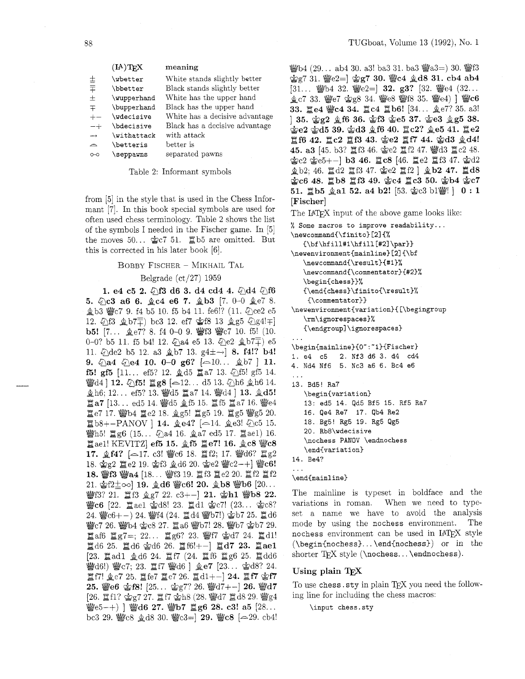|                   | $(\mathbf{I}A)\mathbf{T}_{\mathbf{E}}\mathbf{X}$ | meaning                        |
|-------------------|--------------------------------------------------|--------------------------------|
| 士                 | \wbetter                                         | White stands slightly better   |
| 手                 | \bbetter                                         | Black stands slightly better   |
| 士                 | \wupperhand                                      | White has the upper hand       |
| 王                 | \bupperhand                                      | Black has the upper hand       |
| $+-$              | \wdecisive                                       | White has a decisive advantage |
| $- +$             | \bdecisive                                       | Black has a decisive advantage |
| $\longrightarrow$ | $\forall$ withattack                             | with attack                    |
| ≏                 | \betteris                                        | better is                      |
| റ--റ              | \seppawns                                        | separated pawns                |

Table 2: Informant symbols

from [5] in the style that is used in the Chess Informant [7]. In this book special symbols are used for often used chess terminology. Table 2 shows the list of the symbols I needed in the Fischer game. In [5] the moves  $50...$   $2c7$  51.  $2b5$  are omitted. But this is corrected in his later book [6].

#### BOBBY FISCHER - MIKHAIL TAL

#### Belgrade (ct/27) 1959

1. e4 c5 2.  $\circled{1}3$  d6 3. d4 cd4 4.  $\circled{1}4$   $\circled{1}56$ 5.  $\Diamond$  c3 a6 6.  $\Diamond$  c4 e6 7.  $\Diamond$  b3 [7. 0-0  $\Diamond$  e7 8. 盒b3 響c7 9. f4 b5 10. f5 b4 11. fe6!? (11. 2ce2 e5 12.  $\textcircled{13} \trianglelefteq b7\overline{+}$ ) bc3 12. ef7  $\textcircled{2}f8$  13  $\textcircled{2}g5$   $\textcircled{2}g4!+$ ] b5!  $[7... \text{ Qe7? } 8. \text{ f4 } 0-0.9. \text{ Wf3 Wc7 } 10. \text{ f5! } (10.$ 0-0? b5 11. f5 b4! 12.  $\textcircled{2}$ a4 e5 13.  $\textcircled{2}$   $\textcircled{2}$   $\textcircled{1}$ 11.  $\text{\textdegree}$ de2 b5 12. a3  $\text{\textcircled}$ b7 13. g4 $\pm$  $\rightarrow$ ] 8. f4!? b4! 9.  $\Diamond$ a4  $\Diamond$ e4 10. 0-0 g6? [ $\triangle$ 10...  $\Diamond$ b7 ] 11. **f5! gf5** [11... ef5? 12.  $\triangleq$ d5  $\cong$ a7 13.  $\triangleq$ f5! gf5 14.  $\dddot{\mathbf{w}}$ d4 | 12.  $\Diamond$ f5!  $\ddot{\mathbf{g}}$ g8 [ $\sim$ 12... d5 13.  $\Diamond$ h6  $\Diamond$ h6 14.  $\hat{\mathbf{\Sigma}}$ h6; 12... ef5? 13.  $\hat{\mathbf{\mathbb{W}}}$ d5  $\hat{\mathbf{\Sigma}}$ a7 14.  $\hat{\mathbf{\mathbb{W}}}$ d4 | 13.  $\hat{\mathbf{\Sigma}}$ d5!  $\Xi$ a7 [13... ed5 14.  $\mathcal{Q}$ d5  $\mathcal{Q}$ f5 15.  $\Xi$ f5  $\Xi$ a7 16.  $\mathcal{Q}$ e4 置e7 17. 彎b4 置e2 18. 鱼g5! 置g5 19. 置g5 響g5 20.  $E$ b8+-PANOV ] 14.  $\⊂>ee4$ ? [-14.  $\⊂>ee3$ !  $\⊂>0$ c5 15. 警h5! 置g6 (15... 2a4 16. ga7 ed5 17. lae1) 16.  $\Xi$ ael! KEVITZ] ef5 15.  $\angle$  f5  $\Xi$ e7! 16.  $\angle$ c8  $\angle$ c8 17.  $\hat{\mathbf{g}}$  f4? [ $\sim$ 17. c3!  $\mathbf{W}$ c6 18.  $\mathbf{E}$ f2; 17.  $\mathbf{W}$ d6?  $\mathbf{E}$ g2 18.  $\angle$ g2  $\angle$  e2 19.  $\angle$ f3  $\angle$ d6 20.  $\angle$ e2  $\angle$ e $\angle$ c2-+  $\angle$  $\angle$ e $\angle$ 6! 18. 曾f3 響a4 [18... 警f3 19. 貫f3 置e2 20. 貫f2 置f2 21.  $g_1^2/2 \sim$  19.  $g_2^2d_6$  @c6! 20.  $g_3^2b_8$  @b6  $[20...]$ 警f3? 21. 貫f3 鱼g7 22. c3+-] 21. 含h1 響b8 22. 營c6 [22. 1ael 含d8! 23. 1d1 含c7! (23... 含c8? 24. 響c6+-) 24. 響f4 (24. 貫d4 響b7!) 含b7 25. 貫d6 營c7 26. 彎b4 含c8 27. 買a6 彎b7! 28. 彎b7 含b7 29. **直af6 重g7=; 22... 直g6? 23. 響f7 \$d7 24. 置d1!**  $\Xi$ d6 25.  $\Xi$ d6  $\&$ d6 26.  $\Xi$ f6!+-|  $\Xi$ d7 23.  $\Xi$ ae1 [23. gad1 gd6 24. gf7 (24. gf6 gg6 25. gdd6 營d6!) 營c7; 23. 置f7 營d6 ] 鱼e7 [23... 含d8? 24. 置f7!  $\hat{\mathbb{Q}}$ e7 25. 置fe7 置e7 26. 置d1+-] 24. 置f7 含f7 25.  $\text{We6}$  含f8! [25... 含g7? 26.  $\text{Wd7+-}$ ] 26.  $\text{Wd7}$ [26.  $\cong$  f1?  $\&$  g7 27.  $\cong$  f7  $\&$  h8 (28.  $\&$  d7  $\cong$  d8 29.  $\&$  g4 營 $e5-+)$ ] 營d6 27. 營b7 置g6 28. c3! a5 [28... bc3 29.  $\text{We}8 \text{ g}d8$  30.  $\text{We}3=$  29.  $\text{We}8$  [ $\approx$  29. cb4!

 $\frac{160}{120}$  (29... ab4 30. a3! ba3 31. ba3  $\frac{160}{120}$  a3=) 30.  $\frac{160}{120}$  s  $\log 7$  31.  $\log 2 =$   $\log 7$  30.  $\log 4$   $\log 31$ . cb4 ab4 [31... @b4 32. @e2=] 32. g3? [32. @e4 (32...  $k$ e7 33. @e7  $2g8$  34. @e8 @f8 35. @e4) ] @c6 33. He4 Wc4 34. Lc4 Hb6! [34... ge7? 35. a3! ] 35. &g2 &f6 36. **&f3** &e5 37. &e3 &g5 38.  $\angle 2 \angle 4$ d5 39.  $\angle 43 \angle 46$  40.  $\angle 2$ ?  $\angle 46$  41.  $\angle 22$ Ef6 42. Ec2 Xf3 43. &e2 **Elf7** 44. @d3 &d4! 45. a3 [45. b3? 罝f3 46. 金e2 罝f2 47. 彎d3 罝c2 48.  $\csc 2$   $\csc 5$  + -  $\csc 1$  b3 46.  $\csc 2$  6 (46.  $\csc 2$   $\csc 2$   $\csc 3$  47.  $\csc 42$ 金b2; 46. 置d2 置f3 47. 含e2 置f2] 金b2 47. 置d8 &c6 48. b8 gf3 49. &c4 gc3 50. &b4 &c7 51.  $\angle$ b5  $\angle$ a1 52. a4 b2! [53.  $\angle$ c3 b1 $\angle$ [#] | 0: 1 [Fischer]

The LAT<sub>F</sub>X input of the above game looks like:

```
% Some macros to improve readability ... 
\newcommand{\f inito) [2] {% 
   {\bf \hf ill#l\hf ill [#2] \par)) 
\newenvironment{mainline) [2] {\bf 
   \newcommand{\result){#l)% 
   \newcomnand{\commentator){#2)% 
   \begin{chess))% 
   {\end{chess)\finito{\result)% 
    {\commentator3) 
\newenvironment{variation}{[\begingroup
   \rm\ignorespaces)% 
   {\endgroup]\ignorespaces) 
\begin{mainline}{0":"1}{Fischer}
1. e4 c5 2. Nf3 d6 3. d4 cd4
4. Nd4 Nf6 5. Nc3 a6 6. Bc4 e6
. . . 
13. Bd5! Ra7 
   \begin{variation) 
   13: ed5 14. Qd5 Bf5 15. Rf5 Ra7 
   16. Qe4 Re7 17. qb4 Re2 
   18. Bg5! Rg5 19. Rg5 Qg5 
   20. Rb8\wdecisive 
   \nochess PANOV \endnochess 
   \end{var iat ion) 
14. Be4?
```

```
\end{mainline}
```
 $\cdots$ 

The mainline is typeset in boldface and the variations in roman. When we need to typeset a name we have to avoid the analysis mode by using the nochess environment. The nochess environment can be used in IATEX style (\begin(nochess). . . \end{nochess)) or in the shorter  $TrX$  style ( $\infty$ ss...  $\end{cases}$ .

### Using plain TEX

To use chess. sty in plain TEX you need the following line for including the chess macros:

\input chess.sty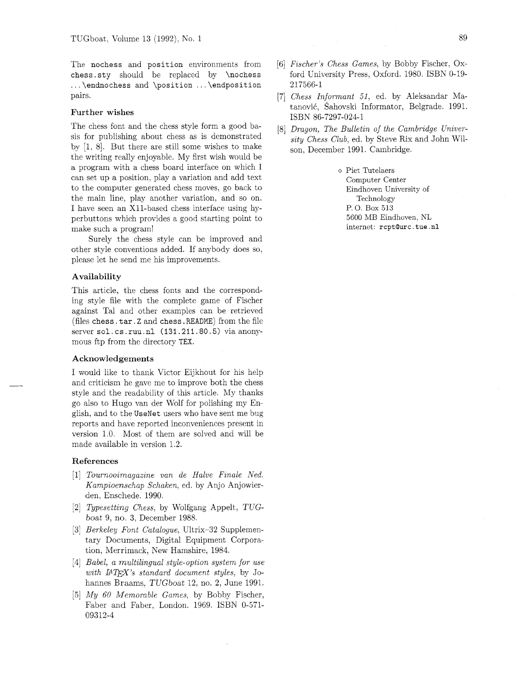The **nochess** and **position** environments from **chess. sty** should be replaced by **\nochess**  . . . **\endnochess** and **\position** . . . **\endposition**  pairs.

## **Further wishes**

The chess font and the chess style form a good basis for publishing about chess as is demonstrated by  $[1, 8]$ . But there are still some wishes to make the writing really enjoyable. My first wish would be a program with a chess board interface on which I can set up a position, play a variation and add text to the computer generated chess moves, go back to the main line, play another variation, and so on. I have seen an X11-based chess interface using hyperbuttons which provides a good starting point to make such a program!

Surely the chess style can be improved and other style conventions added. If anybody does so, please let he send me his improvements.

#### **Availability**

This article, the chess fonts and the corresponding style file with the complete game of Fischer against Tal and other examples can be retrieved (files **chess. tar.** Z and **chess. README)** from the file server **sol. cs .ruu.nl (l3l.2ll.80.5)** via anonymous ftp from the directory TEX.

## **Acknowledgements**

I would like to thank Victor Eijkhout for his help and criticism he gave me to improve both the chess style and the readability of this article. My thanks go also to Hugo van der Wolf for polishing my English, and to the **UseNet** users who have sent me bug reports and have reported inconveniences present in version 1.0. Most of them are solved and will be made available in version 1.2.

#### **References**

- [I] Tournooimagazine van de Halve Finale Ned. Kampioenschap Schaken, ed. by Anjo Anjowierden, Enschede. 1990.
- 121 Typesetting Chess, by Wolfgang Appelt, TUGboat 9, no. **3,** December 1988.
- [3] *Berkeley Font Catalogue*, Ultrix-32 Supplementary Documents, Digital Equipment Corporation, Merrimack, New Hamshire, 1984.
- [4] Babel, *a* multilingual style-option system for use with  $\mu T_F X$ 's standard document styles, by Johannes Braams. TUGboat 12, no. 2, June 1991.
- [5] My *60* Memorable Games, by Bobby Fischer, Faber and Faber, London. 1969. ISBN 0-571- 09312-4
- [6] Fischer's Chess Games, by Bobby Fischer, Oxford University Press, Oxford. 1980. ISBN 0-19- 217566-1
- [7] Chess Informant 51, ed. by Aleksandar Matanović, Šahovski Informator, Belgrade. 1991. ISBN 86-7297-024-1
- [8] Dragon, The Bulletin of the Cambridge University Chess Club, ed. by Steve Rix and John Wilson, December 1991. Cambridge.

o Piet Tutelaers Computer Center Eindhoven University of Technology P. 0. Box 513 5600 MB Eindhoven, NL internet: rcptQurc . tue .nl